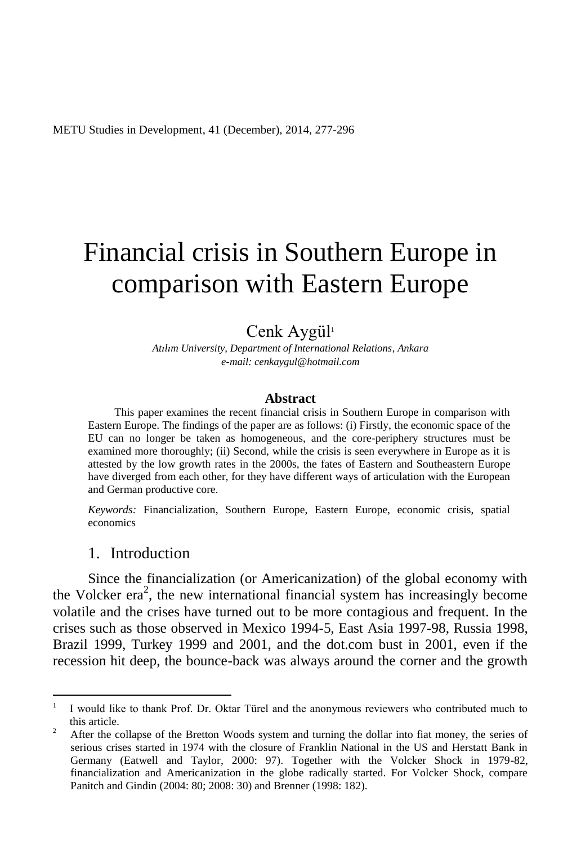METU Studies in Development, 41 (December), 2014, 277-296

# Financial crisis in Southern Europe in comparison with Eastern Europe

# Cenk Aygül<sup>1</sup>

*Atılım University, Department of International Relations, Ankara e-mail: cenkaygul@hotmail.com*

#### **Abstract**

This paper examines the recent financial crisis in Southern Europe in comparison with Eastern Europe. The findings of the paper are as follows: (i) Firstly, the economic space of the EU can no longer be taken as homogeneous, and the core-periphery structures must be examined more thoroughly; (ii) Second, while the crisis is seen everywhere in Europe as it is attested by the low growth rates in the 2000s, the fates of Eastern and Southeastern Europe have diverged from each other, for they have different ways of articulation with the European and German productive core.

*Keywords:* Financialization, Southern Europe, Eastern Europe, economic crisis, spatial economics

# 1. Introduction

 $\overline{a}$ 

Since the financialization (or Americanization) of the global economy with the Volcker era<sup>2</sup>, the new international financial system has increasingly become volatile and the crises have turned out to be more contagious and frequent. In the crises such as those observed in Mexico 1994-5, East Asia 1997-98, Russia 1998, Brazil 1999, Turkey 1999 and 2001, and the dot.com bust in 2001, even if the recession hit deep, the bounce-back was always around the corner and the growth

<sup>1</sup> I would like to thank Prof. Dr. Oktar Türel and the anonymous reviewers who contributed much to this article.

<sup>&</sup>lt;sup>2</sup> After the collapse of the Bretton Woods system and turning the dollar into fiat money, the series of serious crises started in 1974 with the closure of Franklin National in the US and Herstatt Bank in Germany (Eatwell and Taylor, 2000: 97). Together with the Volcker Shock in 1979-82, financialization and Americanization in the globe radically started. For Volcker Shock, compare Panitch and Gindin (2004: 80; 2008: 30) and Brenner (1998: 182).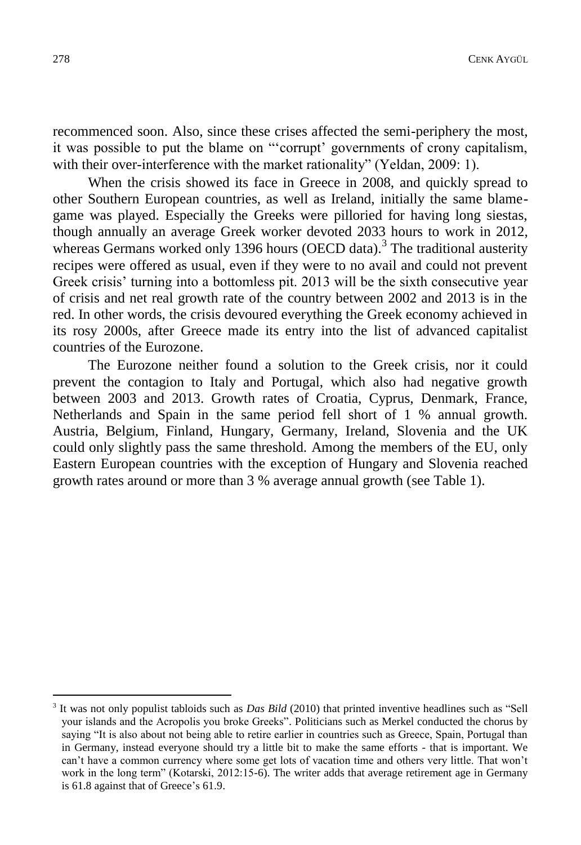recommenced soon. Also, since these crises affected the semi-periphery the most, it was possible to put the blame on "'corrupt' governments of crony capitalism, with their over-interference with the market rationality" (Yeldan, 2009: 1).

When the crisis showed its face in Greece in 2008, and quickly spread to other Southern European countries, as well as Ireland, initially the same blamegame was played. Especially the Greeks were pilloried for having long siestas, though annually an average Greek worker devoted 2033 hours to work in 2012, whereas Germans worked only 1396 hours (OECD data).<sup>3</sup> The traditional austerity recipes were offered as usual, even if they were to no avail and could not prevent Greek crisis' turning into a bottomless pit. 2013 will be the sixth consecutive year of crisis and net real growth rate of the country between 2002 and 2013 is in the red. In other words, the crisis devoured everything the Greek economy achieved in its rosy 2000s, after Greece made its entry into the list of advanced capitalist countries of the Eurozone.

The Eurozone neither found a solution to the Greek crisis, nor it could prevent the contagion to Italy and Portugal, which also had negative growth between 2003 and 2013. Growth rates of Croatia, Cyprus, Denmark, France, Netherlands and Spain in the same period fell short of 1 % annual growth. Austria, Belgium, Finland, Hungary, Germany, Ireland, Slovenia and the UK could only slightly pass the same threshold. Among the members of the EU, only Eastern European countries with the exception of Hungary and Slovenia reached growth rates around or more than 3 % average annual growth (see Table 1).

<sup>3</sup> It was not only populist tabloids such as *Das Bild* (2010) that printed inventive headlines such as "Sell your islands and the Acropolis you broke Greeks". Politicians such as Merkel conducted the chorus by saying "It is also about not being able to retire earlier in countries such as Greece, Spain, Portugal than in Germany, instead everyone should try a little bit to make the same efforts - that is important. We can't have a common currency where some get lots of vacation time and others very little. That won't work in the long term" (Kotarski, 2012:15-6). The writer adds that average retirement age in Germany is 61.8 against that of Greece's 61.9.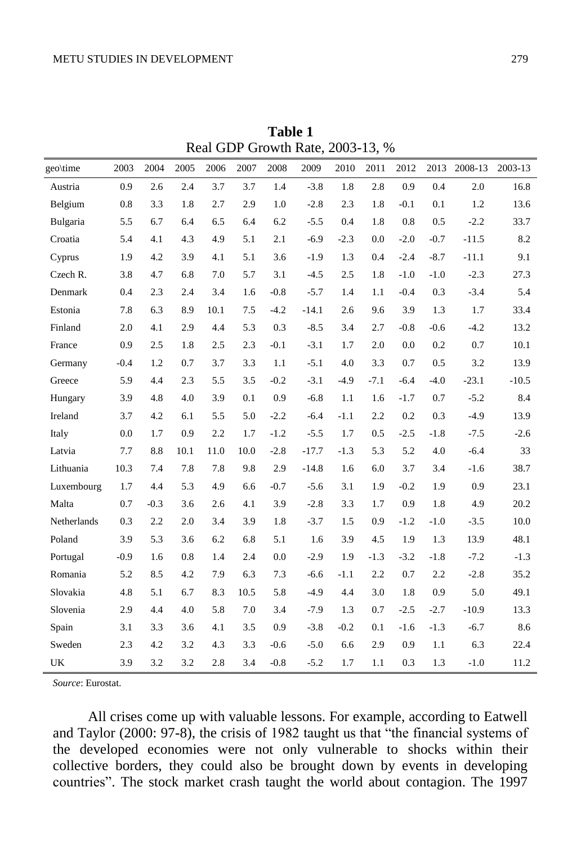| geo\time    | 2003   | 2004   | 2005 | 2006 | 2007 | 2008   | 2009    | 2010   | 2011   | 2012   | 2013   | 2008-13 | 2003-13 |
|-------------|--------|--------|------|------|------|--------|---------|--------|--------|--------|--------|---------|---------|
| Austria     | 0.9    | 2.6    | 2.4  | 3.7  | 3.7  | 1.4    | $-3.8$  | 1.8    | 2.8    | 0.9    | 0.4    | 2.0     | 16.8    |
| Belgium     | 0.8    | 3.3    | 1.8  | 2.7  | 2.9  | 1.0    | $-2.8$  | 2.3    | 1.8    | $-0.1$ | 0.1    | 1.2     | 13.6    |
| Bulgaria    | 5.5    | 6.7    | 6.4  | 6.5  | 6.4  | 6.2    | $-5.5$  | 0.4    | 1.8    | 0.8    | 0.5    | $-2.2$  | 33.7    |
| Croatia     | 5.4    | 4.1    | 4.3  | 4.9  | 5.1  | 2.1    | $-6.9$  | $-2.3$ | 0.0    | $-2.0$ | $-0.7$ | $-11.5$ | 8.2     |
| Cyprus      | 1.9    | 4.2    | 3.9  | 4.1  | 5.1  | 3.6    | $-1.9$  | 1.3    | 0.4    | $-2.4$ | $-8.7$ | $-11.1$ | 9.1     |
| Czech R.    | 3.8    | 4.7    | 6.8  | 7.0  | 5.7  | 3.1    | $-4.5$  | 2.5    | 1.8    | $-1.0$ | $-1.0$ | $-2.3$  | 27.3    |
| Denmark     | 0.4    | 2.3    | 2.4  | 3.4  | 1.6  | $-0.8$ | $-5.7$  | 1.4    | 1.1    | $-0.4$ | 0.3    | $-3.4$  | 5.4     |
| Estonia     | 7.8    | 6.3    | 8.9  | 10.1 | 7.5  | $-4.2$ | $-14.1$ | 2.6    | 9.6    | 3.9    | 1.3    | 1.7     | 33.4    |
| Finland     | 2.0    | 4.1    | 2.9  | 4.4  | 5.3  | 0.3    | $-8.5$  | 3.4    | 2.7    | $-0.8$ | $-0.6$ | $-4.2$  | 13.2    |
| France      | 0.9    | 2.5    | 1.8  | 2.5  | 2.3  | $-0.1$ | $-3.1$  | 1.7    | 2.0    | 0.0    | 0.2    | 0.7     | 10.1    |
| Germany     | $-0.4$ | 1.2    | 0.7  | 3.7  | 3.3  | 1.1    | $-5.1$  | 4.0    | 3.3    | 0.7    | 0.5    | 3.2     | 13.9    |
| Greece      | 5.9    | 4.4    | 2.3  | 5.5  | 3.5  | $-0.2$ | $-3.1$  | $-4.9$ | $-7.1$ | $-6.4$ | $-4.0$ | $-23.1$ | $-10.5$ |
| Hungary     | 3.9    | 4.8    | 4.0  | 3.9  | 0.1  | 0.9    | $-6.8$  | 1.1    | 1.6    | $-1.7$ | 0.7    | $-5.2$  | 8.4     |
| Ireland     | 3.7    | 4.2    | 6.1  | 5.5  | 5.0  | $-2.2$ | $-6.4$  | $-1.1$ | 2.2    | 0.2    | 0.3    | $-4.9$  | 13.9    |
| Italy       | 0.0    | 1.7    | 0.9  | 2.2  | 1.7  | $-1.2$ | $-5.5$  | 1.7    | 0.5    | $-2.5$ | $-1.8$ | $-7.5$  | $-2.6$  |
| Latvia      | 7.7    | 8.8    | 10.1 | 11.0 | 10.0 | $-2.8$ | $-17.7$ | $-1.3$ | 5.3    | 5.2    | 4.0    | $-6.4$  | 33      |
| Lithuania   | 10.3   | 7.4    | 7.8  | 7.8  | 9.8  | 2.9    | $-14.8$ | 1.6    | 6.0    | 3.7    | 3.4    | $-1.6$  | 38.7    |
| Luxembourg  | 1.7    | 4.4    | 5.3  | 4.9  | 6.6  | $-0.7$ | $-5.6$  | 3.1    | 1.9    | $-0.2$ | 1.9    | 0.9     | 23.1    |
| Malta       | 0.7    | $-0.3$ | 3.6  | 2.6  | 4.1  | 3.9    | $-2.8$  | 3.3    | 1.7    | 0.9    | 1.8    | 4.9     | 20.2    |
| Netherlands | 0.3    | 2.2    | 2.0  | 3.4  | 3.9  | 1.8    | $-3.7$  | 1.5    | 0.9    | $-1.2$ | $-1.0$ | $-3.5$  | 10.0    |
| Poland      | 3.9    | 5.3    | 3.6  | 6.2  | 6.8  | 5.1    | 1.6     | 3.9    | 4.5    | 1.9    | 1.3    | 13.9    | 48.1    |
| Portugal    | $-0.9$ | 1.6    | 0.8  | 1.4  | 2.4  | 0.0    | $-2.9$  | 1.9    | $-1.3$ | $-3.2$ | $-1.8$ | $-7.2$  | $-1.3$  |
| Romania     | 5.2    | 8.5    | 4.2  | 7.9  | 6.3  | 7.3    | $-6.6$  | $-1.1$ | 2.2    | 0.7    | 2.2    | $-2.8$  | 35.2    |
| Slovakia    | 4.8    | 5.1    | 6.7  | 8.3  | 10.5 | 5.8    | $-4.9$  | 4.4    | 3.0    | 1.8    | 0.9    | 5.0     | 49.1    |
| Slovenia    | 2.9    | 4.4    | 4.0  | 5.8  | 7.0  | 3.4    | $-7.9$  | 1.3    | 0.7    | $-2.5$ | $-2.7$ | $-10.9$ | 13.3    |
| Spain       | 3.1    | 3.3    | 3.6  | 4.1  | 3.5  | 0.9    | $-3.8$  | $-0.2$ | 0.1    | $-1.6$ | $-1.3$ | $-6.7$  | 8.6     |
| Sweden      | 2.3    | 4.2    | 3.2  | 4.3  | 3.3  | $-0.6$ | $-5.0$  | 6.6    | 2.9    | 0.9    | 1.1    | 6.3     | 22.4    |
| UK          | 3.9    | 3.2    | 3.2  | 2.8  | 3.4  | $-0.8$ | $-5.2$  | 1.7    | 1.1    | 0.3    | 1.3    | $-1.0$  | 11.2    |

**Table 1** Real GDP Growth Rate, 2003-13, %

*Source*: Eurostat.

All crises come up with valuable lessons. For example, according to Eatwell and Taylor (2000: 97-8), the crisis of 1982 taught us that "the financial systems of the developed economies were not only vulnerable to shocks within their collective borders, they could also be brought down by events in developing countries". The stock market crash taught the world about contagion. The 1997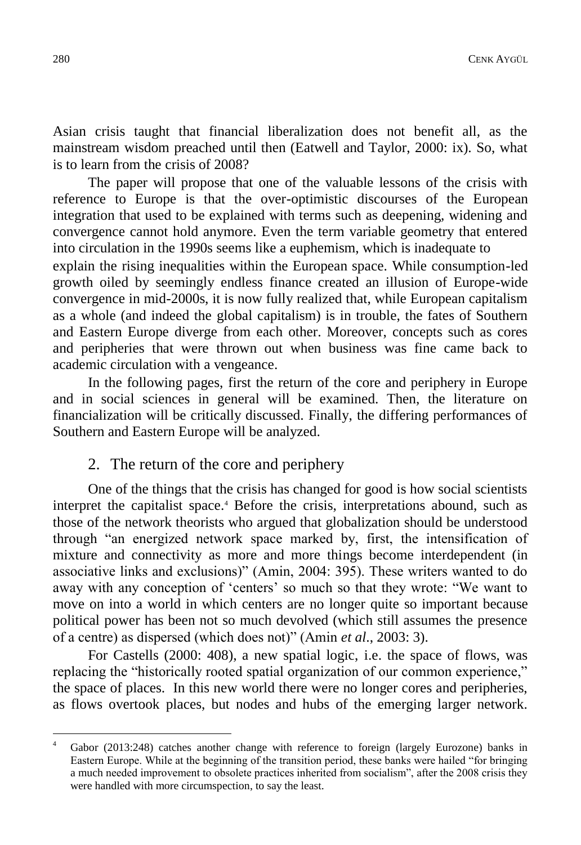Asian crisis taught that financial liberalization does not benefit all, as the mainstream wisdom preached until then (Eatwell and Taylor, 2000: ix). So, what is to learn from the crisis of 2008?

The paper will propose that one of the valuable lessons of the crisis with reference to Europe is that the over-optimistic discourses of the European integration that used to be explained with terms such as deepening, widening and convergence cannot hold anymore. Even the term variable geometry that entered into circulation in the 1990s seems like a euphemism, which is inadequate to

explain the rising inequalities within the European space. While consumption-led growth oiled by seemingly endless finance created an illusion of Europe-wide convergence in mid-2000s, it is now fully realized that, while European capitalism as a whole (and indeed the global capitalism) is in trouble, the fates of Southern and Eastern Europe diverge from each other. Moreover, concepts such as cores and peripheries that were thrown out when business was fine came back to academic circulation with a vengeance.

In the following pages, first the return of the core and periphery in Europe and in social sciences in general will be examined. Then, the literature on financialization will be critically discussed. Finally, the differing performances of Southern and Eastern Europe will be analyzed.

#### 2. The return of the core and periphery

One of the things that the crisis has changed for good is how social scientists interpret the capitalist space.<sup>4</sup> Before the crisis, interpretations abound, such as those of the network theorists who argued that globalization should be understood through "an energized network space marked by, first, the intensification of mixture and connectivity as more and more things become interdependent (in associative links and exclusions)" (Amin, 2004: 395). These writers wanted to do away with any conception of 'centers' so much so that they wrote: "We want to move on into a world in which centers are no longer quite so important because political power has been not so much devolved (which still assumes the presence of a centre) as dispersed (which does not)" (Amin *et al*., 2003: 3).

For Castells (2000: 408), a new spatial logic, i.e. the space of flows, was replacing the "historically rooted spatial organization of our common experience," the space of places. In this new world there were no longer cores and peripheries, as flows overtook places, but nodes and hubs of the emerging larger network.

Gabor (2013:248) catches another change with reference to foreign (largely Eurozone) banks in Eastern Europe. While at the beginning of the transition period, these banks were hailed "for bringing a much needed improvement to obsolete practices inherited from socialism", after the 2008 crisis they were handled with more circumspection, to say the least.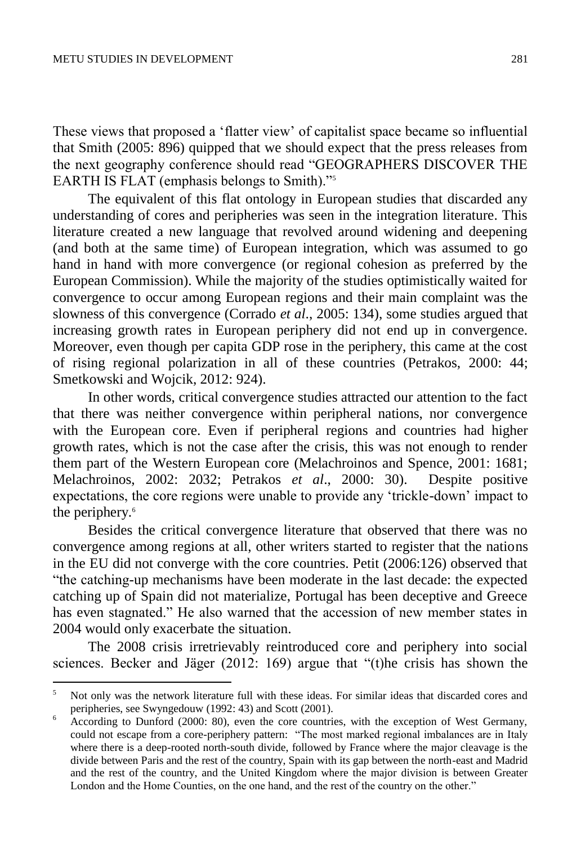$\overline{a}$ 

These views that proposed a 'flatter view' of capitalist space became so influential that Smith (2005: 896) quipped that we should expect that the press releases from the next geography conference should read "GEOGRAPHERS DISCOVER THE EARTH IS FLAT (emphasis belongs to Smith)."<sup>5</sup>

The equivalent of this flat ontology in European studies that discarded any understanding of cores and peripheries was seen in the integration literature. This literature created a new language that revolved around widening and deepening (and both at the same time) of European integration, which was assumed to go hand in hand with more convergence (or regional cohesion as preferred by the European Commission). While the majority of the studies optimistically waited for convergence to occur among European regions and their main complaint was the slowness of this convergence (Corrado *et al*., 2005: 134), some studies argued that increasing growth rates in European periphery did not end up in convergence. Moreover, even though per capita GDP rose in the periphery, this came at the cost of rising regional polarization in all of these countries (Petrakos, 2000: 44; Smetkowski and Wojcik, 2012: 924).

In other words, critical convergence studies attracted our attention to the fact that there was neither convergence within peripheral nations, nor convergence with the European core. Even if peripheral regions and countries had higher growth rates, which is not the case after the crisis, this was not enough to render them part of the Western European core (Melachroinos and Spence, 2001: 1681; Melachroinos, 2002: 2032; Petrakos *et al*., 2000: 30). Despite positive expectations, the core regions were unable to provide any 'trickle-down' impact to the periphery.<sup>6</sup>

Besides the critical convergence literature that observed that there was no convergence among regions at all, other writers started to register that the nations in the EU did not converge with the core countries. Petit (2006:126) observed that "the catching-up mechanisms have been moderate in the last decade: the expected catching up of Spain did not materialize, Portugal has been deceptive and Greece has even stagnated." He also warned that the accession of new member states in 2004 would only exacerbate the situation.

The 2008 crisis irretrievably reintroduced core and periphery into social sciences. Becker and Jäger (2012: 169) argue that "(t)he crisis has shown the

<sup>5</sup> Not only was the network literature full with these ideas. For similar ideas that discarded cores and peripheries, see Swyngedouw (1992: 43) and Scott (2001).

<sup>6</sup> According to Dunford (2000: 80), even the core countries, with the exception of West Germany, could not escape from a core-periphery pattern: "The most marked regional imbalances are in Italy where there is a deep-rooted north-south divide, followed by France where the major cleavage is the divide between Paris and the rest of the country, Spain with its gap between the north-east and Madrid and the rest of the country, and the United Kingdom where the major division is between Greater London and the Home Counties, on the one hand, and the rest of the country on the other."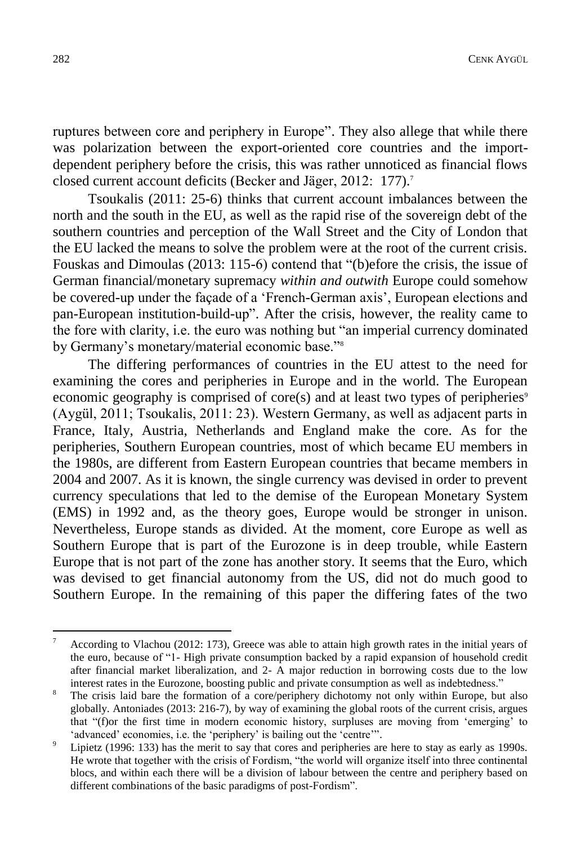ruptures between core and periphery in Europe". They also allege that while there was polarization between the export-oriented core countries and the importdependent periphery before the crisis, this was rather unnoticed as financial flows closed current account deficits (Becker and Jäger, 2012: 177).<sup>7</sup>

Tsoukalis (2011: 25-6) thinks that current account imbalances between the north and the south in the EU, as well as the rapid rise of the sovereign debt of the southern countries and perception of the Wall Street and the City of London that the EU lacked the means to solve the problem were at the root of the current crisis. Fouskas and Dimoulas (2013: 115-6) contend that "(b)efore the crisis, the issue of German financial/monetary supremacy *within and outwith* Europe could somehow be covered-up under the façade of a 'French-German axis', European elections and pan-European institution-build-up". After the crisis, however, the reality came to the fore with clarity, i.e. the euro was nothing but "an imperial currency dominated by Germany's monetary/material economic base."<sup>8</sup>

The differing performances of countries in the EU attest to the need for examining the cores and peripheries in Europe and in the world. The European economic geography is comprised of core(s) and at least two types of peripheries $\degree$ (Aygül, 2011; Tsoukalis, 2011: 23). Western Germany, as well as adjacent parts in France, Italy, Austria, Netherlands and England make the core. As for the peripheries, Southern European countries, most of which became EU members in the 1980s, are different from Eastern European countries that became members in 2004 and 2007. As it is known, the single currency was devised in order to prevent currency speculations that led to the demise of the European Monetary System (EMS) in 1992 and, as the theory goes, Europe would be stronger in unison. Nevertheless, Europe stands as divided. At the moment, core Europe as well as Southern Europe that is part of the Eurozone is in deep trouble, while Eastern Europe that is not part of the zone has another story. It seems that the Euro, which was devised to get financial autonomy from the US, did not do much good to Southern Europe. In the remaining of this paper the differing fates of the two

According to Vlachou (2012: 173), Greece was able to attain high growth rates in the initial years of the euro, because of "1- High private consumption backed by a rapid expansion of household credit after financial market liberalization, and 2- A major reduction in borrowing costs due to the low interest rates in the Eurozone, boosting public and private consumption as well as indebtedness."

<sup>&</sup>lt;sup>8</sup> The crisis laid bare the formation of a core/periphery dichotomy not only within Europe, but also globally. Antoniades (2013: 216-7), by way of examining the global roots of the current crisis, argues that "(f)or the first time in modern economic history, surpluses are moving from 'emerging' to 'advanced' economies, i.e. the 'periphery' is bailing out the 'centre'".

Lipietz (1996: 133) has the merit to say that cores and peripheries are here to stay as early as 1990s. He wrote that together with the crisis of Fordism, "the world will organize itself into three continental blocs, and within each there will be a division of labour between the centre and periphery based on different combinations of the basic paradigms of post-Fordism".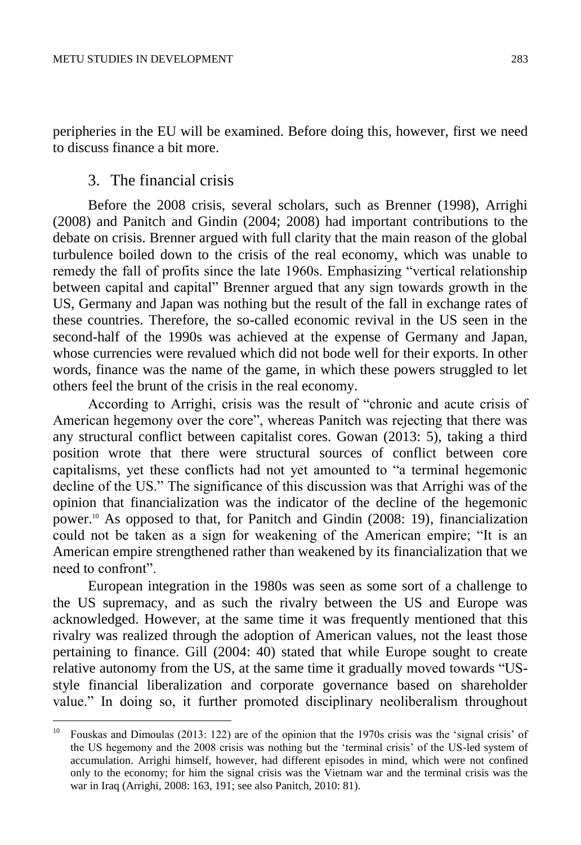peripheries in the EU will be examined. Before doing this, however, first we need to discuss finance a bit more.

# 3. The financial crisis

 $\overline{a}$ 

Before the 2008 crisis, several scholars, such as Brenner (1998), Arrighi (2008) and Panitch and Gindin (2004; 2008) had important contributions to the debate on crisis. Brenner argued with full clarity that the main reason of the global turbulence boiled down to the crisis of the real economy, which was unable to remedy the fall of profits since the late 1960s. Emphasizing "vertical relationship between capital and capital" Brenner argued that any sign towards growth in the US, Germany and Japan was nothing but the result of the fall in exchange rates of these countries. Therefore, the so-called economic revival in the US seen in the second-half of the 1990s was achieved at the expense of Germany and Japan, whose currencies were revalued which did not bode well for their exports. In other words, finance was the name of the game, in which these powers struggled to let others feel the brunt of the crisis in the real economy.

According to Arrighi, crisis was the result of "chronic and acute crisis of American hegemony over the core", whereas Panitch was rejecting that there was any structural conflict between capitalist cores. Gowan (2013: 5), taking a third position wrote that there were structural sources of conflict between core capitalisms, yet these conflicts had not yet amounted to "a terminal hegemonic decline of the US." The significance of this discussion was that Arrighi was of the opinion that financialization was the indicator of the decline of the hegemonic power.<sup>10</sup> As opposed to that, for Panitch and Gindin (2008: 19), financialization could not be taken as a sign for weakening of the American empire; "It is an American empire strengthened rather than weakened by its financialization that we need to confront".

European integration in the 1980s was seen as some sort of a challenge to the US supremacy, and as such the rivalry between the US and Europe was acknowledged. However, at the same time it was frequently mentioned that this rivalry was realized through the adoption of American values, not the least those pertaining to finance. Gill (2004: 40) stated that while Europe sought to create relative autonomy from the US, at the same time it gradually moved towards "USstyle financial liberalization and corporate governance based on shareholder value." In doing so, it further promoted disciplinary neoliberalism throughout

<sup>&</sup>lt;sup>10</sup> Fouskas and Dimoulas (2013: 122) are of the opinion that the 1970s crisis was the 'signal crisis' of the US hegemony and the 2008 crisis was nothing but the 'terminal crisis' of the US-led system of accumulation. Arrighi himself, however, had different episodes in mind, which were not confined only to the economy; for him the signal crisis was the Vietnam war and the terminal crisis was the war in Iraq (Arrighi, 2008: 163, 191; see also Panitch, 2010: 81).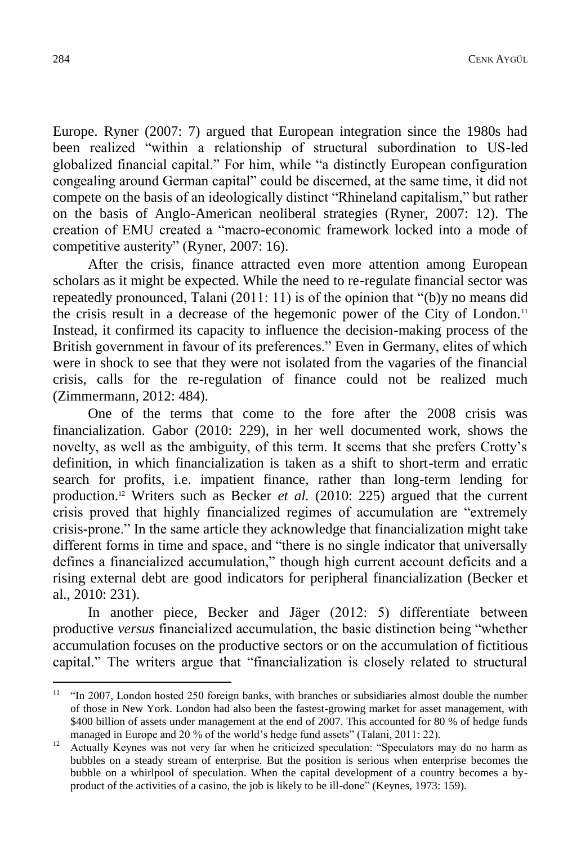Europe. Ryner (2007: 7) argued that European integration since the 1980s had been realized "within a relationship of structural subordination to US-led globalized financial capital." For him, while "a distinctly European configuration congealing around German capital" could be discerned, at the same time, it did not compete on the basis of an ideologically distinct "Rhineland capitalism," but rather on the basis of Anglo-American neoliberal strategies (Ryner, 2007: 12). The creation of EMU created a "macro-economic framework locked into a mode of competitive austerity" (Ryner, 2007: 16).

After the crisis, finance attracted even more attention among European scholars as it might be expected. While the need to re-regulate financial sector was repeatedly pronounced, Talani (2011: 11) is of the opinion that "(b)y no means did the crisis result in a decrease of the hegemonic power of the City of London.<sup>11</sup> Instead, it confirmed its capacity to influence the decision-making process of the British government in favour of its preferences." Even in Germany, elites of which were in shock to see that they were not isolated from the vagaries of the financial crisis, calls for the re-regulation of finance could not be realized much (Zimmermann, 2012: 484).

One of the terms that come to the fore after the 2008 crisis was financialization. Gabor (2010: 229), in her well documented work, shows the novelty, as well as the ambiguity, of this term. It seems that she prefers Crotty's definition, in which financialization is taken as a shift to short-term and erratic search for profits, i.e. impatient finance, rather than long-term lending for production.<sup>12</sup> Writers such as Becker *et al.* (2010: 225) argued that the current crisis proved that highly financialized regimes of accumulation are "extremely crisis-prone." In the same article they acknowledge that financialization might take different forms in time and space, and "there is no single indicator that universally defines a financialized accumulation," though high current account deficits and a rising external debt are good indicators for peripheral financialization (Becker et al., 2010: 231).

In another piece, Becker and Jäger (2012: 5) differentiate between productive *versus* financialized accumulation, the basic distinction being "whether accumulation focuses on the productive sectors or on the accumulation of fictitious capital." The writers argue that "financialization is closely related to structural

 $11$  "In 2007, London hosted 250 foreign banks, with branches or subsidiaries almost double the number of those in New York. London had also been the fastest-growing market for asset management, with \$400 billion of assets under management at the end of 2007. This accounted for 80 % of hedge funds managed in Europe and 20 % of the world's hedge fund assets" (Talani, 2011: 22).

<sup>&</sup>lt;sup>12</sup> Actually Keynes was not very far when he criticized speculation: "Speculators may do no harm as bubbles on a steady stream of enterprise. But the position is serious when enterprise becomes the bubble on a whirlpool of speculation. When the capital development of a country becomes a byproduct of the activities of a casino, the job is likely to be ill-done" [\(Keynes,](http://www.maynardkeynes.org/keynes-the-investor.html) 1973: 159).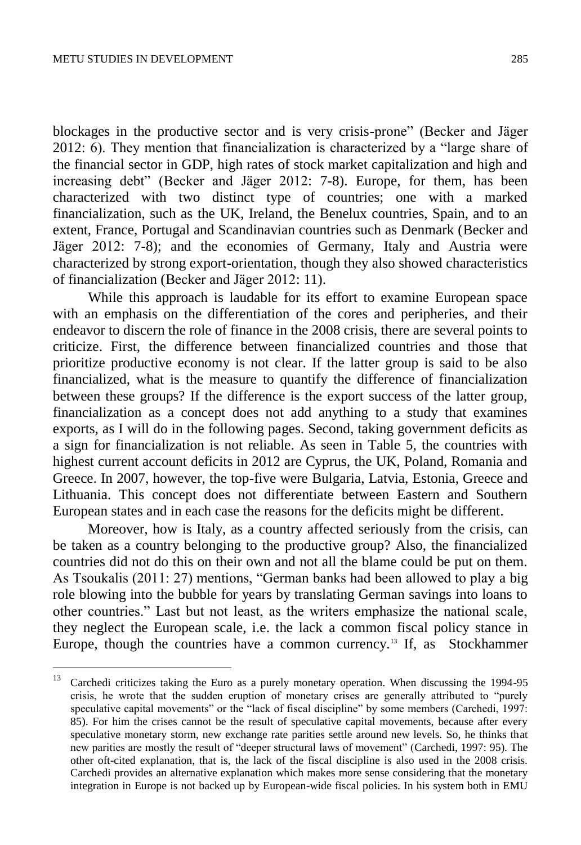blockages in the productive sector and is very crisis-prone" (Becker and Jäger 2012: 6). They mention that financialization is characterized by a "large share of the financial sector in GDP, high rates of stock market capitalization and high and increasing debt" (Becker and Jäger 2012: 7-8). Europe, for them, has been characterized with two distinct type of countries; one with a marked financialization, such as the UK, Ireland, the Benelux countries, Spain, and to an extent, France, Portugal and Scandinavian countries such as Denmark (Becker and Jäger 2012: 7-8); and the economies of Germany, Italy and Austria were characterized by strong export-orientation, though they also showed characteristics of financialization (Becker and Jäger 2012: 11).

While this approach is laudable for its effort to examine European space with an emphasis on the differentiation of the cores and peripheries, and their endeavor to discern the role of finance in the 2008 crisis, there are several points to criticize. First, the difference between financialized countries and those that prioritize productive economy is not clear. If the latter group is said to be also financialized, what is the measure to quantify the difference of financialization between these groups? If the difference is the export success of the latter group, financialization as a concept does not add anything to a study that examines exports, as I will do in the following pages. Second, taking government deficits as a sign for financialization is not reliable. As seen in Table 5, the countries with highest current account deficits in 2012 are Cyprus, the UK, Poland, Romania and Greece. In 2007, however, the top-five were Bulgaria, Latvia, Estonia, Greece and Lithuania. This concept does not differentiate between Eastern and Southern European states and in each case the reasons for the deficits might be different.

Moreover, how is Italy, as a country affected seriously from the crisis, can be taken as a country belonging to the productive group? Also, the financialized countries did not do this on their own and not all the blame could be put on them. As Tsoukalis (2011: 27) mentions, "German banks had been allowed to play a big role blowing into the bubble for years by translating German savings into loans to other countries." Last but not least, as the writers emphasize the national scale, they neglect the European scale, i.e. the lack a common fiscal policy stance in Europe, though the countries have a common currency.<sup>13</sup> If, as Stockhammer

<sup>13</sup> <sup>13</sup> Carchedi criticizes taking the Euro as a purely monetary operation. When discussing the 1994-95 crisis, he wrote that the sudden eruption of monetary crises are generally attributed to "purely speculative capital movements" or the "lack of fiscal discipline" by some members (Carchedi, 1997: 85). For him the crises cannot be the result of speculative capital movements, because after every speculative monetary storm, new exchange rate parities settle around new levels. So, he thinks that new parities are mostly the result of "deeper structural laws of movement" (Carchedi, 1997: 95). The other oft-cited explanation, that is, the lack of the fiscal discipline is also used in the 2008 crisis. Carchedi provides an alternative explanation which makes more sense considering that the monetary integration in Europe is not backed up by European-wide fiscal policies. In his system both in EMU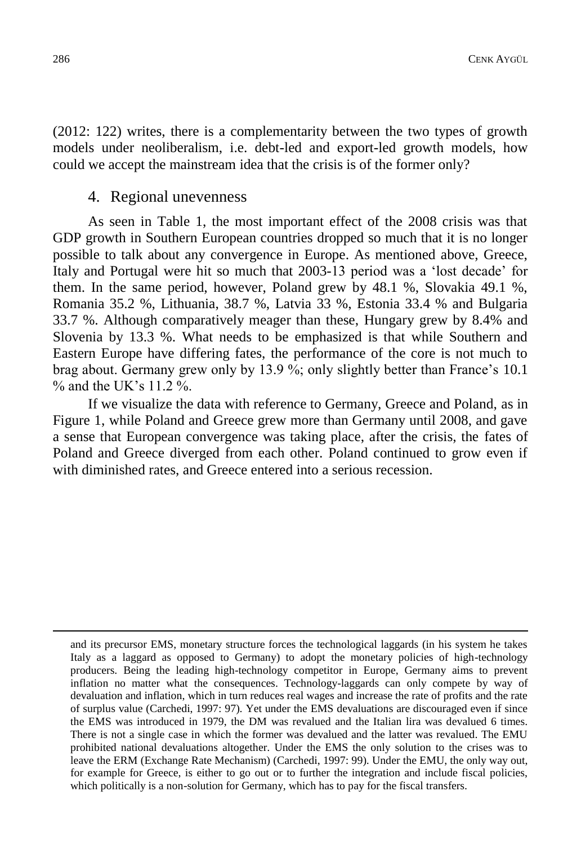(2012: 122) writes, there is a complementarity between the two types of growth models under neoliberalism, i.e. debt-led and export-led growth models, how could we accept the mainstream idea that the crisis is of the former only?

#### 4. Regional unevenness

As seen in Table 1, the most important effect of the 2008 crisis was that GDP growth in Southern European countries dropped so much that it is no longer possible to talk about any convergence in Europe. As mentioned above, Greece, Italy and Portugal were hit so much that 2003-13 period was a 'lost decade' for them. In the same period, however, Poland grew by 48.1 %, Slovakia 49.1 %, Romania 35.2 %, Lithuania, 38.7 %, Latvia 33 %, Estonia 33.4 % and Bulgaria 33.7 %. Although comparatively meager than these, Hungary grew by 8.4% and Slovenia by 13.3 %. What needs to be emphasized is that while Southern and Eastern Europe have differing fates, the performance of the core is not much to brag about. Germany grew only by 13.9 %; only slightly better than France's 10.1  $\%$  and the UK's 11.2  $\%$ .

If we visualize the data with reference to Germany, Greece and Poland, as in Figure 1, while Poland and Greece grew more than Germany until 2008, and gave a sense that European convergence was taking place, after the crisis, the fates of Poland and Greece diverged from each other. Poland continued to grow even if with diminished rates, and Greece entered into a serious recession.

and its precursor EMS, monetary structure forces the technological laggards (in his system he takes Italy as a laggard as opposed to Germany) to adopt the monetary policies of high-technology producers. Being the leading high-technology competitor in Europe, Germany aims to prevent inflation no matter what the consequences. Technology-laggards can only compete by way of devaluation and inflation, which in turn reduces real wages and increase the rate of profits and the rate of surplus value (Carchedi, 1997: 97). Yet under the EMS devaluations are discouraged even if since the EMS was introduced in 1979, the DM was revalued and the Italian lira was devalued 6 times. There is not a single case in which the former was devalued and the latter was revalued. The EMU prohibited national devaluations altogether. Under the EMS the only solution to the crises was to leave the ERM (Exchange Rate Mechanism) (Carchedi, 1997: 99). Under the EMU, the only way out, for example for Greece, is either to go out or to further the integration and include fiscal policies, which politically is a non-solution for Germany, which has to pay for the fiscal transfers.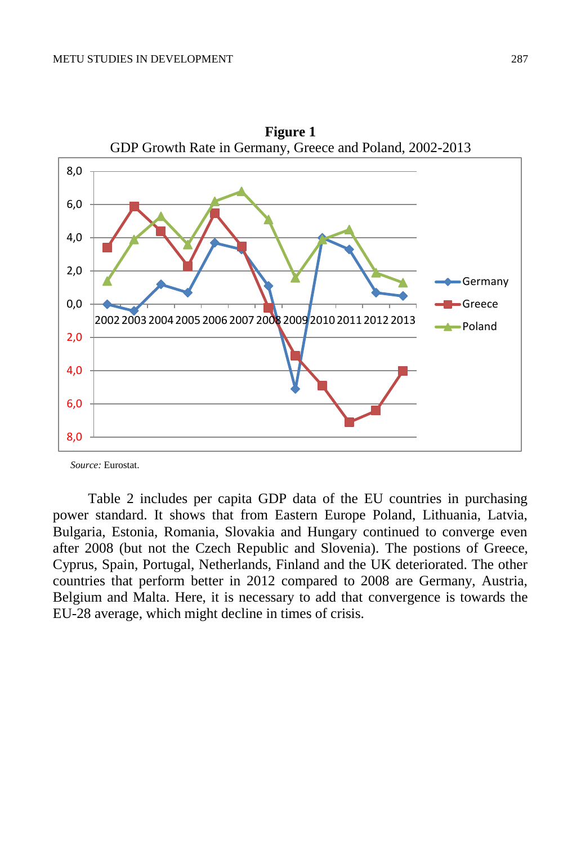

**Figure 1**

*Source:* Eurostat.

Table 2 includes per capita GDP data of the EU countries in purchasing power standard. It shows that from Eastern Europe Poland, Lithuania, Latvia, Bulgaria, Estonia, Romania, Slovakia and Hungary continued to converge even after 2008 (but not the Czech Republic and Slovenia). The postions of Greece, Cyprus, Spain, Portugal, Netherlands, Finland and the UK deteriorated. The other countries that perform better in 2012 compared to 2008 are Germany, Austria, Belgium and Malta. Here, it is necessary to add that convergence is towards the EU-28 average, which might decline in times of crisis.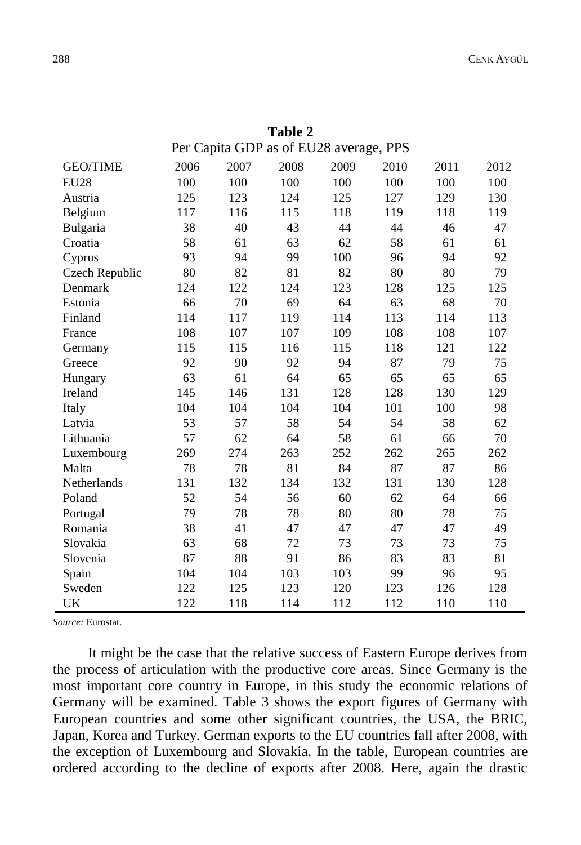| $1 \text{C}1 \text{ C}4 \mu$ and $0 \mu$ as on $1 \text{C}20$ average, 115 |      |      |      |      |      |      |      |  |
|----------------------------------------------------------------------------|------|------|------|------|------|------|------|--|
| <b>GEO/TIME</b>                                                            | 2006 | 2007 | 2008 | 2009 | 2010 | 2011 | 2012 |  |
| <b>EU28</b>                                                                | 100  | 100  | 100  | 100  | 100  | 100  | 100  |  |
| Austria                                                                    | 125  | 123  | 124  | 125  | 127  | 129  | 130  |  |
| Belgium                                                                    | 117  | 116  | 115  | 118  | 119  | 118  | 119  |  |
| Bulgaria                                                                   | 38   | 40   | 43   | 44   | 44   | 46   | 47   |  |
| Croatia                                                                    | 58   | 61   | 63   | 62   | 58   | 61   | 61   |  |
| Cyprus                                                                     | 93   | 94   | 99   | 100  | 96   | 94   | 92   |  |
| Czech Republic                                                             | 80   | 82   | 81   | 82   | 80   | 80   | 79   |  |
| Denmark                                                                    | 124  | 122  | 124  | 123  | 128  | 125  | 125  |  |
| Estonia                                                                    | 66   | 70   | 69   | 64   | 63   | 68   | 70   |  |
| Finland                                                                    | 114  | 117  | 119  | 114  | 113  | 114  | 113  |  |
| France                                                                     | 108  | 107  | 107  | 109  | 108  | 108  | 107  |  |
| Germany                                                                    | 115  | 115  | 116  | 115  | 118  | 121  | 122  |  |
| Greece                                                                     | 92   | 90   | 92   | 94   | 87   | 79   | 75   |  |
| Hungary                                                                    | 63   | 61   | 64   | 65   | 65   | 65   | 65   |  |
| Ireland                                                                    | 145  | 146  | 131  | 128  | 128  | 130  | 129  |  |
| Italy                                                                      | 104  | 104  | 104  | 104  | 101  | 100  | 98   |  |
| Latvia                                                                     | 53   | 57   | 58   | 54   | 54   | 58   | 62   |  |
| Lithuania                                                                  | 57   | 62   | 64   | 58   | 61   | 66   | 70   |  |
| Luxembourg                                                                 | 269  | 274  | 263  | 252  | 262  | 265  | 262  |  |
| Malta                                                                      | 78   | 78   | 81   | 84   | 87   | 87   | 86   |  |
| Netherlands                                                                | 131  | 132  | 134  | 132  | 131  | 130  | 128  |  |
| Poland                                                                     | 52   | 54   | 56   | 60   | 62   | 64   | 66   |  |
| Portugal                                                                   | 79   | 78   | 78   | 80   | 80   | 78   | 75   |  |
| Romania                                                                    | 38   | 41   | 47   | 47   | 47   | 47   | 49   |  |
| Slovakia                                                                   | 63   | 68   | 72   | 73   | 73   | 73   | 75   |  |
| Slovenia                                                                   | 87   | 88   | 91   | 86   | 83   | 83   | 81   |  |
| Spain                                                                      | 104  | 104  | 103  | 103  | 99   | 96   | 95   |  |
| Sweden                                                                     | 122  | 125  | 123  | 120  | 123  | 126  | 128  |  |
| UK                                                                         | 122  | 118  | 114  | 112  | 112  | 110  | 110  |  |

**Table 2** Per Capita GDP as of EU28 average, PPS

*Source:* Eurostat.

It might be the case that the relative success of Eastern Europe derives from the process of articulation with the productive core areas. Since Germany is the most important core country in Europe, in this study the economic relations of Germany will be examined. Table 3 shows the export figures of Germany with European countries and some other significant countries, the USA, the BRIC, Japan, Korea and Turkey. German exports to the EU countries fall after 2008, with the exception of Luxembourg and Slovakia. In the table, European countries are ordered according to the decline of exports after 2008. Here, again the drastic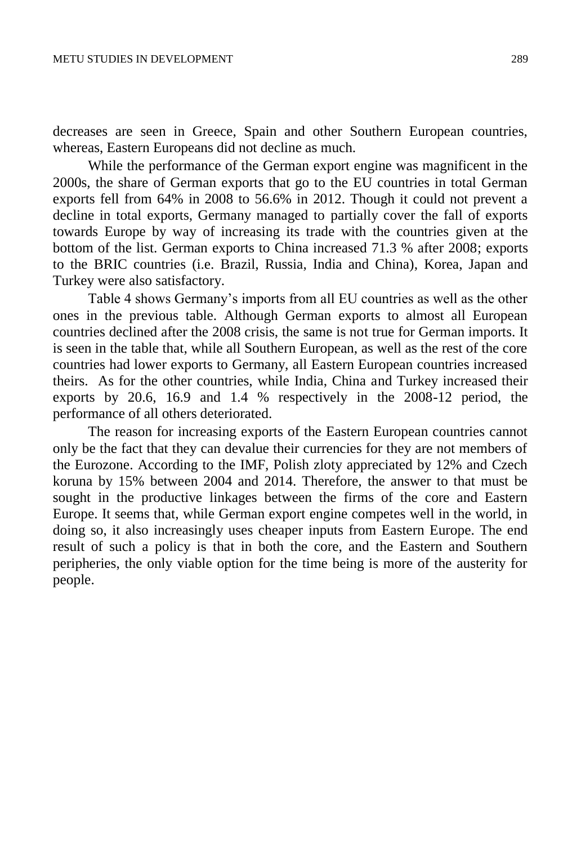decreases are seen in Greece, Spain and other Southern European countries, whereas, Eastern Europeans did not decline as much.

While the performance of the German export engine was magnificent in the 2000s, the share of German exports that go to the EU countries in total German exports fell from 64% in 2008 to 56.6% in 2012. Though it could not prevent a decline in total exports, Germany managed to partially cover the fall of exports towards Europe by way of increasing its trade with the countries given at the bottom of the list. German exports to China increased 71.3 % after 2008; exports to the BRIC countries (i.e. Brazil, Russia, India and China), Korea, Japan and Turkey were also satisfactory.

Table 4 shows Germany's imports from all EU countries as well as the other ones in the previous table. Although German exports to almost all European countries declined after the 2008 crisis, the same is not true for German imports. It is seen in the table that, while all Southern European, as well as the rest of the core countries had lower exports to Germany, all Eastern European countries increased theirs. As for the other countries, while India, China and Turkey increased their exports by 20.6, 16.9 and 1.4 % respectively in the 2008-12 period, the performance of all others deteriorated.

The reason for increasing exports of the Eastern European countries cannot only be the fact that they can devalue their currencies for they are not members of the Eurozone. According to the IMF, Polish zloty appreciated by 12% and Czech koruna by 15% between 2004 and 2014. Therefore, the answer to that must be sought in the productive linkages between the firms of the core and Eastern Europe. It seems that, while German export engine competes well in the world, in doing so, it also increasingly uses cheaper inputs from Eastern Europe. The end result of such a policy is that in both the core, and the Eastern and Southern peripheries, the only viable option for the time being is more of the austerity for people.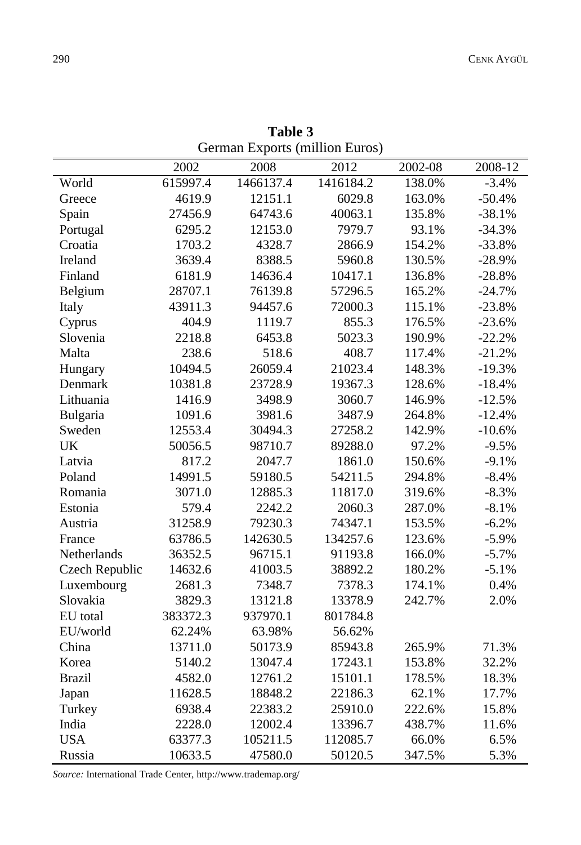| German Exports (million Euros) |          |           |           |         |          |  |  |
|--------------------------------|----------|-----------|-----------|---------|----------|--|--|
|                                | 2002     | 2008      | 2012      | 2002-08 | 2008-12  |  |  |
| World                          | 615997.4 | 1466137.4 | 1416184.2 | 138.0%  | $-3.4%$  |  |  |
| Greece                         | 4619.9   | 12151.1   | 6029.8    | 163.0%  | $-50.4%$ |  |  |
| Spain                          | 27456.9  | 64743.6   | 40063.1   | 135.8%  | $-38.1%$ |  |  |
| Portugal                       | 6295.2   | 12153.0   | 7979.7    | 93.1%   | $-34.3%$ |  |  |
| Croatia                        | 1703.2   | 4328.7    | 2866.9    | 154.2%  | $-33.8%$ |  |  |
| Ireland                        | 3639.4   | 8388.5    | 5960.8    | 130.5%  | $-28.9%$ |  |  |
| Finland                        | 6181.9   | 14636.4   | 10417.1   | 136.8%  | $-28.8%$ |  |  |
| Belgium                        | 28707.1  | 76139.8   | 57296.5   | 165.2%  | $-24.7%$ |  |  |
| Italy                          | 43911.3  | 94457.6   | 72000.3   | 115.1%  | $-23.8%$ |  |  |
| Cyprus                         | 404.9    | 1119.7    | 855.3     | 176.5%  | $-23.6%$ |  |  |
| Slovenia                       | 2218.8   | 6453.8    | 5023.3    | 190.9%  | $-22.2%$ |  |  |
| Malta                          | 238.6    | 518.6     | 408.7     | 117.4%  | $-21.2%$ |  |  |
| Hungary                        | 10494.5  | 26059.4   | 21023.4   | 148.3%  | $-19.3%$ |  |  |
| Denmark                        | 10381.8  | 23728.9   | 19367.3   | 128.6%  | $-18.4%$ |  |  |
| Lithuania                      | 1416.9   | 3498.9    | 3060.7    | 146.9%  | $-12.5%$ |  |  |
| Bulgaria                       | 1091.6   | 3981.6    | 3487.9    | 264.8%  | $-12.4%$ |  |  |
| Sweden                         | 12553.4  | 30494.3   | 27258.2   | 142.9%  | $-10.6%$ |  |  |
| <b>UK</b>                      | 50056.5  | 98710.7   | 89288.0   | 97.2%   | $-9.5%$  |  |  |
| Latvia                         | 817.2    | 2047.7    | 1861.0    | 150.6%  | $-9.1%$  |  |  |
| Poland                         | 14991.5  | 59180.5   | 54211.5   | 294.8%  | $-8.4%$  |  |  |
| Romania                        | 3071.0   | 12885.3   | 11817.0   | 319.6%  | $-8.3%$  |  |  |
| Estonia                        | 579.4    | 2242.2    | 2060.3    | 287.0%  | $-8.1%$  |  |  |
| Austria                        | 31258.9  | 79230.3   | 74347.1   | 153.5%  | $-6.2%$  |  |  |
| France                         | 63786.5  | 142630.5  | 134257.6  | 123.6%  | $-5.9%$  |  |  |
| Netherlands                    | 36352.5  | 96715.1   | 91193.8   | 166.0%  | $-5.7%$  |  |  |
| Czech Republic                 | 14632.6  | 41003.5   | 38892.2   | 180.2%  | $-5.1%$  |  |  |
| Luxembourg                     | 2681.3   | 7348.7    | 7378.3    | 174.1%  | 0.4%     |  |  |
| Slovakia                       | 3829.3   | 13121.8   | 13378.9   | 242.7%  | 2.0%     |  |  |
| EU total                       | 383372.3 | 937970.1  | 801784.8  |         |          |  |  |
| EU/world                       | 62.24%   | 63.98%    | 56.62%    |         |          |  |  |
| China                          | 13711.0  | 50173.9   | 85943.8   | 265.9%  | 71.3%    |  |  |
| Korea                          | 5140.2   | 13047.4   | 17243.1   | 153.8%  | 32.2%    |  |  |
| <b>Brazil</b>                  | 4582.0   | 12761.2   | 15101.1   | 178.5%  | 18.3%    |  |  |
| Japan                          | 11628.5  | 18848.2   | 22186.3   | 62.1%   | 17.7%    |  |  |
| Turkey                         | 6938.4   | 22383.2   | 25910.0   | 222.6%  | 15.8%    |  |  |
| India                          | 2228.0   | 12002.4   | 13396.7   | 438.7%  | 11.6%    |  |  |
| <b>USA</b>                     | 63377.3  | 105211.5  | 112085.7  | 66.0%   | 6.5%     |  |  |
| Russia                         | 10633.5  | 47580.0   | 50120.5   | 347.5%  | 5.3%     |  |  |

**Table 3** 

*Source:* International Trade Center[, http://www.trademap.org/](http://www.trademap.org/)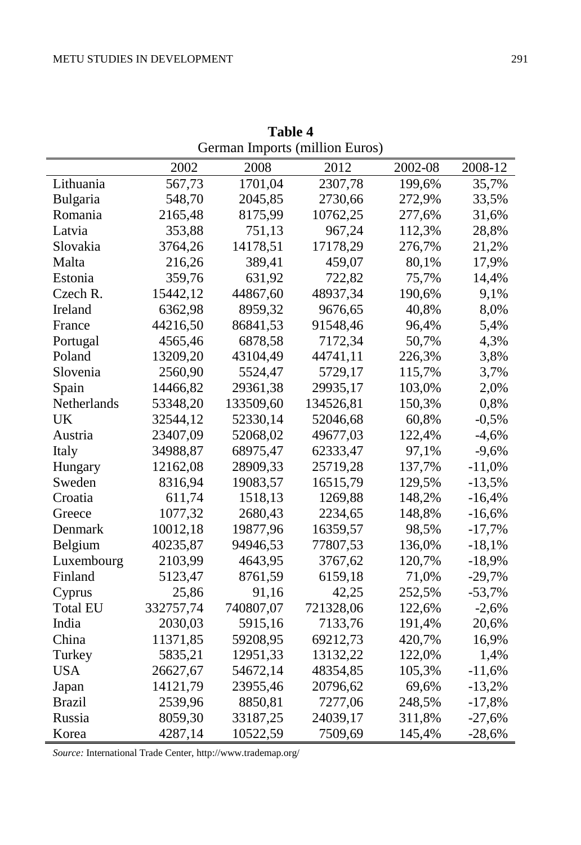|                 | German Imports (million Euros) |           |           |         |          |  |  |  |
|-----------------|--------------------------------|-----------|-----------|---------|----------|--|--|--|
|                 | 2002                           | 2008      | 2012      | 2002-08 | 2008-12  |  |  |  |
| Lithuania       | 567,73                         | 1701,04   | 2307,78   | 199,6%  | 35,7%    |  |  |  |
| <b>Bulgaria</b> | 548,70                         | 2045,85   | 2730,66   | 272,9%  | 33,5%    |  |  |  |
| Romania         | 2165,48                        | 8175,99   | 10762,25  | 277,6%  | 31,6%    |  |  |  |
| Latvia          | 353,88                         | 751,13    | 967,24    | 112,3%  | 28,8%    |  |  |  |
| Slovakia        | 3764,26                        | 14178,51  | 17178,29  | 276,7%  | 21,2%    |  |  |  |
| Malta           | 216,26                         | 389,41    | 459,07    | 80,1%   | 17,9%    |  |  |  |
| Estonia         | 359,76                         | 631,92    | 722,82    | 75,7%   | 14,4%    |  |  |  |
| Czech R.        | 15442,12                       | 44867,60  | 48937,34  | 190,6%  | 9,1%     |  |  |  |
| Ireland         | 6362,98                        | 8959,32   | 9676,65   | 40,8%   | 8,0%     |  |  |  |
| France          | 44216,50                       | 86841,53  | 91548,46  | 96,4%   | 5,4%     |  |  |  |
| Portugal        | 4565,46                        | 6878,58   | 7172,34   | 50,7%   | 4,3%     |  |  |  |
| Poland          | 13209,20                       | 43104,49  | 44741,11  | 226,3%  | 3,8%     |  |  |  |
| Slovenia        | 2560,90                        | 5524,47   | 5729,17   | 115,7%  | 3,7%     |  |  |  |
| Spain           | 14466,82                       | 29361,38  | 29935,17  | 103,0%  | 2,0%     |  |  |  |
| Netherlands     | 53348,20                       | 133509,60 | 134526,81 | 150,3%  | 0,8%     |  |  |  |
| UK              | 32544,12                       | 52330,14  | 52046,68  | 60,8%   | $-0,5%$  |  |  |  |
| Austria         | 23407,09                       | 52068,02  | 49677,03  | 122,4%  | $-4,6%$  |  |  |  |
| Italy           | 34988,87                       | 68975,47  | 62333,47  | 97,1%   | $-9,6%$  |  |  |  |
| Hungary         | 12162,08                       | 28909,33  | 25719,28  | 137,7%  | $-11,0%$ |  |  |  |
| Sweden          | 8316,94                        | 19083,57  | 16515,79  | 129,5%  | $-13,5%$ |  |  |  |
| Croatia         | 611,74                         | 1518,13   | 1269,88   | 148,2%  | $-16,4%$ |  |  |  |
| Greece          | 1077,32                        | 2680,43   | 2234,65   | 148,8%  | $-16,6%$ |  |  |  |
| Denmark         | 10012,18                       | 19877,96  | 16359,57  | 98,5%   | $-17,7%$ |  |  |  |
| Belgium         | 40235,87                       | 94946,53  | 77807,53  | 136,0%  | $-18,1%$ |  |  |  |
| Luxembourg      | 2103,99                        | 4643,95   | 3767,62   | 120,7%  | $-18,9%$ |  |  |  |
| Finland         | 5123,47                        | 8761,59   | 6159,18   | 71,0%   | $-29,7%$ |  |  |  |
| Cyprus          | 25,86                          | 91,16     | 42,25     | 252,5%  | $-53,7%$ |  |  |  |
| <b>Total EU</b> | 332757,74                      | 740807,07 | 721328,06 | 122,6%  | $-2,6%$  |  |  |  |
| India           | 2030,03                        | 5915,16   | 7133,76   | 191,4%  | 20,6%    |  |  |  |
| China           | 11371,85                       | 59208,95  | 69212,73  | 420,7%  | 16,9%    |  |  |  |
| Turkey          | 5835,21                        | 12951,33  | 13132,22  | 122,0%  | 1,4%     |  |  |  |
| <b>USA</b>      | 26627,67                       | 54672,14  | 48354,85  | 105,3%  | $-11,6%$ |  |  |  |
| Japan           | 14121,79                       | 23955,46  | 20796,62  | 69,6%   | $-13,2%$ |  |  |  |
| <b>Brazil</b>   | 2539,96                        | 8850,81   | 7277,06   | 248,5%  | $-17,8%$ |  |  |  |
| Russia          | 8059,30                        | 33187,25  | 24039,17  | 311,8%  | $-27,6%$ |  |  |  |
| Korea           | 4287,14                        | 10522,59  | 7509,69   | 145,4%  | $-28,6%$ |  |  |  |

**Table 4** 

*Source:* International Trade Center[, http://www.trademap.org/](http://www.trademap.org/)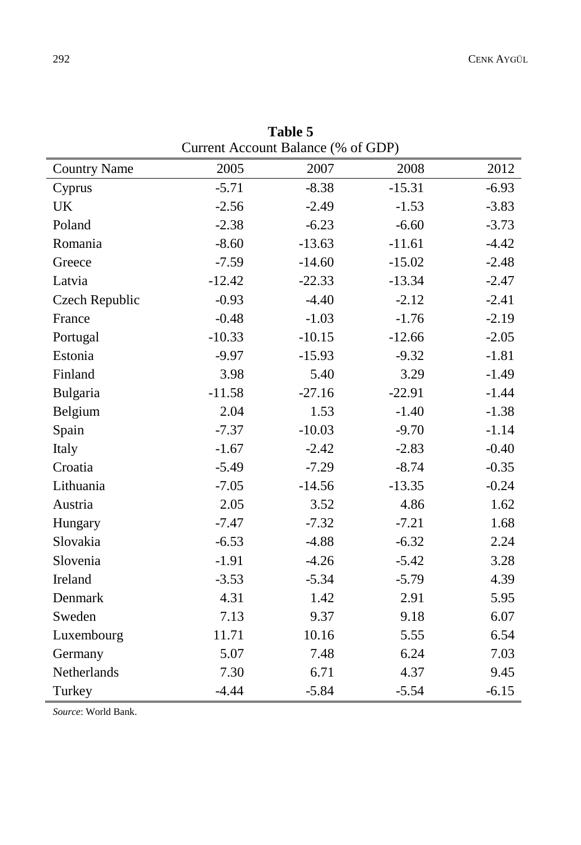| Current Account Balance (% of GDP) |          |          |          |         |  |  |  |  |  |
|------------------------------------|----------|----------|----------|---------|--|--|--|--|--|
| <b>Country Name</b>                | 2005     | 2007     | 2008     | 2012    |  |  |  |  |  |
| Cyprus                             | $-5.71$  | $-8.38$  | $-15.31$ | $-6.93$ |  |  |  |  |  |
| <b>UK</b>                          | $-2.56$  | $-2.49$  | $-1.53$  | $-3.83$ |  |  |  |  |  |
| Poland                             | $-2.38$  | $-6.23$  | $-6.60$  | $-3.73$ |  |  |  |  |  |
| Romania                            | $-8.60$  | $-13.63$ | $-11.61$ | $-4.42$ |  |  |  |  |  |
| Greece                             | $-7.59$  | $-14.60$ | $-15.02$ | $-2.48$ |  |  |  |  |  |
| Latvia                             | $-12.42$ | $-22.33$ | $-13.34$ | $-2.47$ |  |  |  |  |  |
| Czech Republic                     | $-0.93$  | $-4.40$  | $-2.12$  | $-2.41$ |  |  |  |  |  |
| France                             | $-0.48$  | $-1.03$  | $-1.76$  | $-2.19$ |  |  |  |  |  |
| Portugal                           | $-10.33$ | $-10.15$ | $-12.66$ | $-2.05$ |  |  |  |  |  |
| Estonia                            | $-9.97$  | $-15.93$ | $-9.32$  | $-1.81$ |  |  |  |  |  |
| Finland                            | 3.98     | 5.40     | 3.29     | $-1.49$ |  |  |  |  |  |
| Bulgaria                           | $-11.58$ | $-27.16$ | $-22.91$ | $-1.44$ |  |  |  |  |  |
| Belgium                            | 2.04     | 1.53     | $-1.40$  | $-1.38$ |  |  |  |  |  |
| Spain                              | $-7.37$  | $-10.03$ | $-9.70$  | $-1.14$ |  |  |  |  |  |
| Italy                              | $-1.67$  | $-2.42$  | $-2.83$  | $-0.40$ |  |  |  |  |  |
| Croatia                            | $-5.49$  | $-7.29$  | $-8.74$  | $-0.35$ |  |  |  |  |  |
| Lithuania                          | $-7.05$  | $-14.56$ | $-13.35$ | $-0.24$ |  |  |  |  |  |
| Austria                            | 2.05     | 3.52     | 4.86     | 1.62    |  |  |  |  |  |
| Hungary                            | $-7.47$  | $-7.32$  | $-7.21$  | 1.68    |  |  |  |  |  |
| Slovakia                           | $-6.53$  | $-4.88$  | $-6.32$  | 2.24    |  |  |  |  |  |
| Slovenia                           | $-1.91$  | $-4.26$  | $-5.42$  | 3.28    |  |  |  |  |  |
| Ireland                            | $-3.53$  | $-5.34$  | $-5.79$  | 4.39    |  |  |  |  |  |
| Denmark                            | 4.31     | 1.42     | 2.91     | 5.95    |  |  |  |  |  |
| Sweden                             | 7.13     | 9.37     | 9.18     | 6.07    |  |  |  |  |  |
| Luxembourg                         | 11.71    | 10.16    | 5.55     | 6.54    |  |  |  |  |  |
| Germany                            | 5.07     | 7.48     | 6.24     | 7.03    |  |  |  |  |  |
| Netherlands                        | 7.30     | 6.71     | 4.37     | 9.45    |  |  |  |  |  |
| Turkey                             | $-4.44$  | $-5.84$  | $-5.54$  | $-6.15$ |  |  |  |  |  |

**Table 5**

*Source*: World Bank.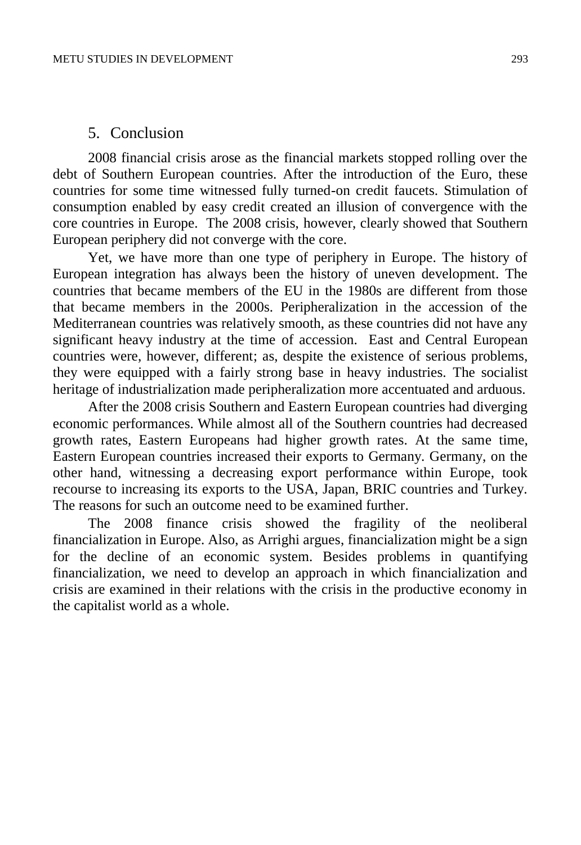#### 5. Conclusion

2008 financial crisis arose as the financial markets stopped rolling over the debt of Southern European countries. After the introduction of the Euro, these countries for some time witnessed fully turned-on credit faucets. Stimulation of consumption enabled by easy credit created an illusion of convergence with the core countries in Europe. The 2008 crisis, however, clearly showed that Southern European periphery did not converge with the core.

Yet, we have more than one type of periphery in Europe. The history of European integration has always been the history of uneven development. The countries that became members of the EU in the 1980s are different from those that became members in the 2000s. Peripheralization in the accession of the Mediterranean countries was relatively smooth, as these countries did not have any significant heavy industry at the time of accession. East and Central European countries were, however, different; as, despite the existence of serious problems, they were equipped with a fairly strong base in heavy industries. The socialist heritage of industrialization made peripheralization more accentuated and arduous.

After the 2008 crisis Southern and Eastern European countries had diverging economic performances. While almost all of the Southern countries had decreased growth rates, Eastern Europeans had higher growth rates. At the same time, Eastern European countries increased their exports to Germany. Germany, on the other hand, witnessing a decreasing export performance within Europe, took recourse to increasing its exports to the USA, Japan, BRIC countries and Turkey. The reasons for such an outcome need to be examined further.

The 2008 finance crisis showed the fragility of the neoliberal financialization in Europe. Also, as Arrighi argues, financialization might be a sign for the decline of an economic system. Besides problems in quantifying financialization, we need to develop an approach in which financialization and crisis are examined in their relations with the crisis in the productive economy in the capitalist world as a whole.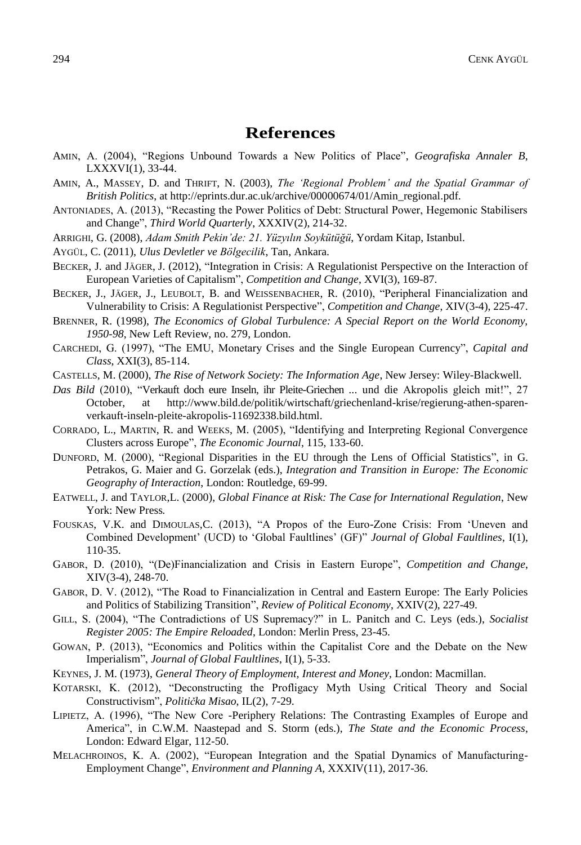## **References**

- AMIN, A. (2004), "Regions Unbound Towards a New Politics of Place", *Geografiska Annaler B*, LXXXVI(1), 33-44.
- AMIN, A., MASSEY, D. and THRIFT, N. (2003), *The 'Regional Problem' and the Spatial Grammar of British Politics*, at [http://eprints.dur.ac.uk/archive/00000674/01/Amin\\_regional.pdf.](http://eprints.dur.ac.uk/archive/00000674/01/Amin_regional.pdf)
- ANTONIADES, A. (2013), "Recasting the Power Politics of Debt: Structural Power, Hegemonic Stabilisers and Change", *Third World Quarterly*, XXXIV(2), 214-32.
- ARRIGHI, G. (2008), *Adam Smith Pekin'de: 21. Yüzyılın Soykütüğü*, Yordam Kitap, Istanbul.
- AYGÜL, C. (2011), *Ulus Devletler ve Bölgecilik*, Tan, Ankara.
- BECKER, J. and JÄGER, J. (2012), "Integration in Crisis: A Regulationist Perspective on the Interaction of European Varieties of Capitalism", *Competition and Change*, XVI(3), 169-87.
- BECKER, J., JÄGER, J., LEUBOLT, B. and WEISSENBACHER, R. (2010), "Peripheral Financialization and Vulnerability to Crisis: A Regulationist Perspective", *Competition and Change*, XIV(3-4), 225-47.
- BRENNER, R. (1998), *The Economics of Global Turbulence: A Special Report on the World Economy, 1950-98*, New Left Review, no. 279, London.
- CARCHEDI, G. (1997), "The EMU, Monetary Crises and the Single European Currency", *Capital and Class*, XXI(3), 85-114.
- CASTELLS, M. (2000), *The Rise of Network Society: The Information Age*, New Jersey: Wiley-Blackwell.
- *Das Bild* (2010), "Verkauft doch eure Inseln, ihr Pleite-Griechen ... und die Akropolis gleich mit!", 27 October, [at http://www.bild.de/politik/wirtschaft/griechenland-krise/regierung-athen-sparen](http://www.bild.de/politik/wirtschaft/griechenland-krise/regierung-athen-sparen-verkauft-inseln-pleite-akropolis-11692338.bild.html)[verkauft-inseln-pleite-akropolis-11692338.bild.html.](http://www.bild.de/politik/wirtschaft/griechenland-krise/regierung-athen-sparen-verkauft-inseln-pleite-akropolis-11692338.bild.html)
- CORRADO, L., MARTIN, R. and WEEKS, M. (2005), "Identifying and Interpreting Regional Convergence Clusters across Europe", *The Economic Journal*, 115, 133-60.
- DUNFORD, M. (2000), "Regional Disparities in the EU through the Lens of Official Statistics", in G. Petrakos, G. Maier and G. Gorzelak (eds.), *Integration and Transition in Europe: The Economic Geography of Interaction*, London: Routledge, 69-99.
- EATWELL, J. and TAYLOR,L. (2000), *Global Finance at Risk: The Case for International Regulation*, New York: New Press*.*
- FOUSKAS, V.K. and DIMOULAS,C. (2013), "A Propos of the Euro-Zone Crisis: From 'Uneven and Combined Development' (UCD) to 'Global Faultlines' (GF)" *Journal of Global Faultlines*, I(1), 110-35.
- GABOR, D. (2010), "(De)Financialization and Crisis in Eastern Europe", *Competition and Change*, XIV(3-4), 248-70.
- GABOR, D. V. (2012), "The Road to Financialization in Central and Eastern Europe: The Early Policies and Politics of Stabilizing Transition", *Review of Political Economy*, XXIV(2), 227-49.
- GILL, S. (2004), "The Contradictions of US Supremacy?" in L. Panitch and C. Leys (eds.), *Socialist Register 2005: The Empire Reloaded*, London: Merlin Press, 23-45.
- GOWAN, P. (2013), "Economics and Politics within the Capitalist Core and the Debate on the New Imperialism", *Journal of Global Faultlines*, I(1), 5-33.
- KEYNES, J. M. (1973), *General Theory of Employment, Interest and Money*, London: Macmillan.
- KOTARSKI, K. (2012), "Deconstructing the Profligacy Myth Using Critical Theory and Social Constructivism", *Politička Misao*, IL(2), 7-29.
- LIPIETZ, A. (1996), "The New Core -Periphery Relations: The Contrasting Examples of Europe and America", in C.W.M. Naastepad and S. Storm (eds.), *The State and the Economic Process*, London: Edward Elgar, 112-50.
- MELACHROINOS, K. A. (2002), "European Integration and the Spatial Dynamics of Manufacturing-Employment Change", *Environment and Planning A,* XXXIV(11), 2017-36.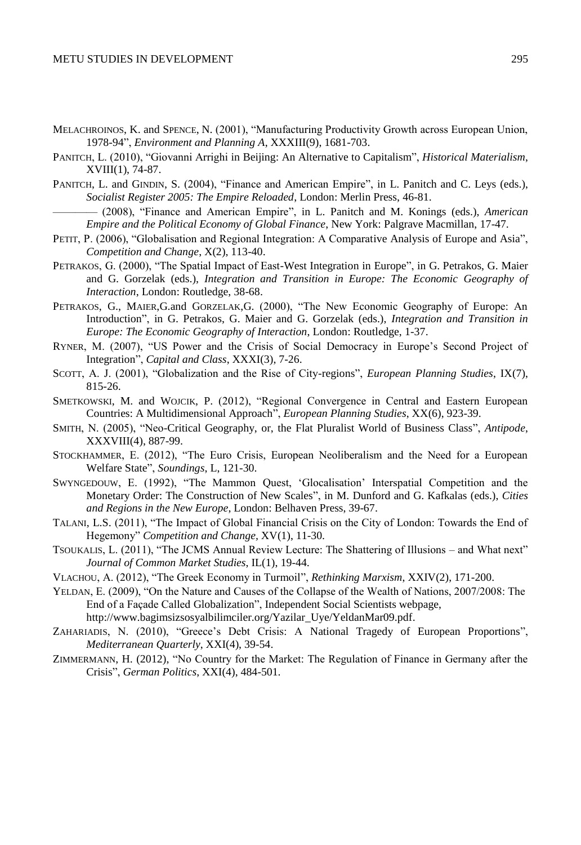- MELACHROINOS, K. and SPENCE, N. (2001), "Manufacturing Productivity Growth across European Union, 1978-94", *Environment and Planning A*, XXXIII(9), 1681-703.
- PANITCH, L. (2010), "Giovanni Arrighi in Beijing: An Alternative to Capitalism", *Historical Materialism*, XVIII(1), 74-87.
- PANITCH, L. and GINDIN, S. (2004), "Finance and American Empire", in L. Panitch and C. Leys (eds.), *Socialist Register 2005: The Empire Reloaded*, London: Merlin Press, 46-81.
- ———— (2008), "Finance and American Empire", in L. Panitch and M. Konings (eds.), *American Empire and the Political Economy of Global Finance*, New York: Palgrave Macmillan, 17-47.
- PETIT, P. (2006), "Globalisation and Regional Integration: A Comparative Analysis of Europe and Asia". *Competition and Change*, X(2), 113-40.
- PETRAKOS, G. (2000), "The Spatial Impact of East-West Integration in Europe", in G. Petrakos, G. Maier and G. Gorzelak (eds.), *Integration and Transition in Europe: The Economic Geography of Interaction*, London: Routledge, 38-68.
- PETRAKOS, G., MAIER,G.and GORZELAK,G. (2000), "The New Economic Geography of Europe: An Introduction", in G. Petrakos, G. Maier and G. Gorzelak (eds.), *Integration and Transition in Europe: The Economic Geography of Interaction*, London: Routledge, 1-37.
- RYNER, M. (2007), "US Power and the Crisis of Social Democracy in Europe's Second Project of Integration", *Capital and Class*, XXXI(3), 7-26.
- SCOTT, A. J. (2001), "Globalization and the Rise of City-regions", *European Planning Studies*, IX(7), 815-26.
- SMETKOWSKI, M. and WOJCIK, P. (2012), "Regional Convergence in Central and Eastern European Countries: A Multidimensional Approach", *European Planning Studies*, XX(6), 923-39.
- SMITH, N. (2005), "Neo-Critical Geography, or, the Flat Pluralist World of Business Class", *Antipode*, XXXVIII(4), 887-99.
- STOCKHAMMER, E. (2012), "The Euro Crisis, European Neoliberalism and the Need for a European Welfare State", *Soundings*, L, 121-30.
- SWYNGEDOUW, E. (1992), "The Mammon Quest, 'Glocalisation' Interspatial Competition and the Monetary Order: The Construction of New Scales", in M. Dunford and G. Kafkalas (eds.), *Cities and Regions in the New Europe*, London: Belhaven Press, 39-67.
- TALANI, L.S. (2011), "The Impact of Global Financial Crisis on the City of London: Towards the End of Hegemony" *Competition and Change,* XV(1), 11-30.
- TSOUKALIS, L. (2011), "The JCMS Annual Review Lecture: The Shattering of Illusions and What next" *Journal of Common Market Studies*, IL(1), 19-44.
- VLACHOU, A. (2012), "The Greek Economy in Turmoil", *Rethinking Marxism*, XXIV(2), 171-200.
- YELDAN, E. (2009), "On the Nature and Causes of the Collapse of the Wealth of Nations, 2007/2008: The End of a Façade Called Globalization", Independent Social Scientists webpage, [http://www.bagimsizsosyalbilimciler.org/Yazilar\\_Uye/YeldanMar09.pdf.](http://www.bagimsizsosyalbilimciler.org/Yazilar_Uye/YeldanMar09.pdf)
- ZAHARIADIS, N. (2010), "Greece's Debt Crisis: A National Tragedy of European Proportions", *Mediterranean Quarterly*, XXI(4), 39-54.
- ZIMMERMANN, H. (2012), "No Country for the Market: The Regulation of Finance in Germany after the Crisis", *German Politics*, XXI(4), 484-501.